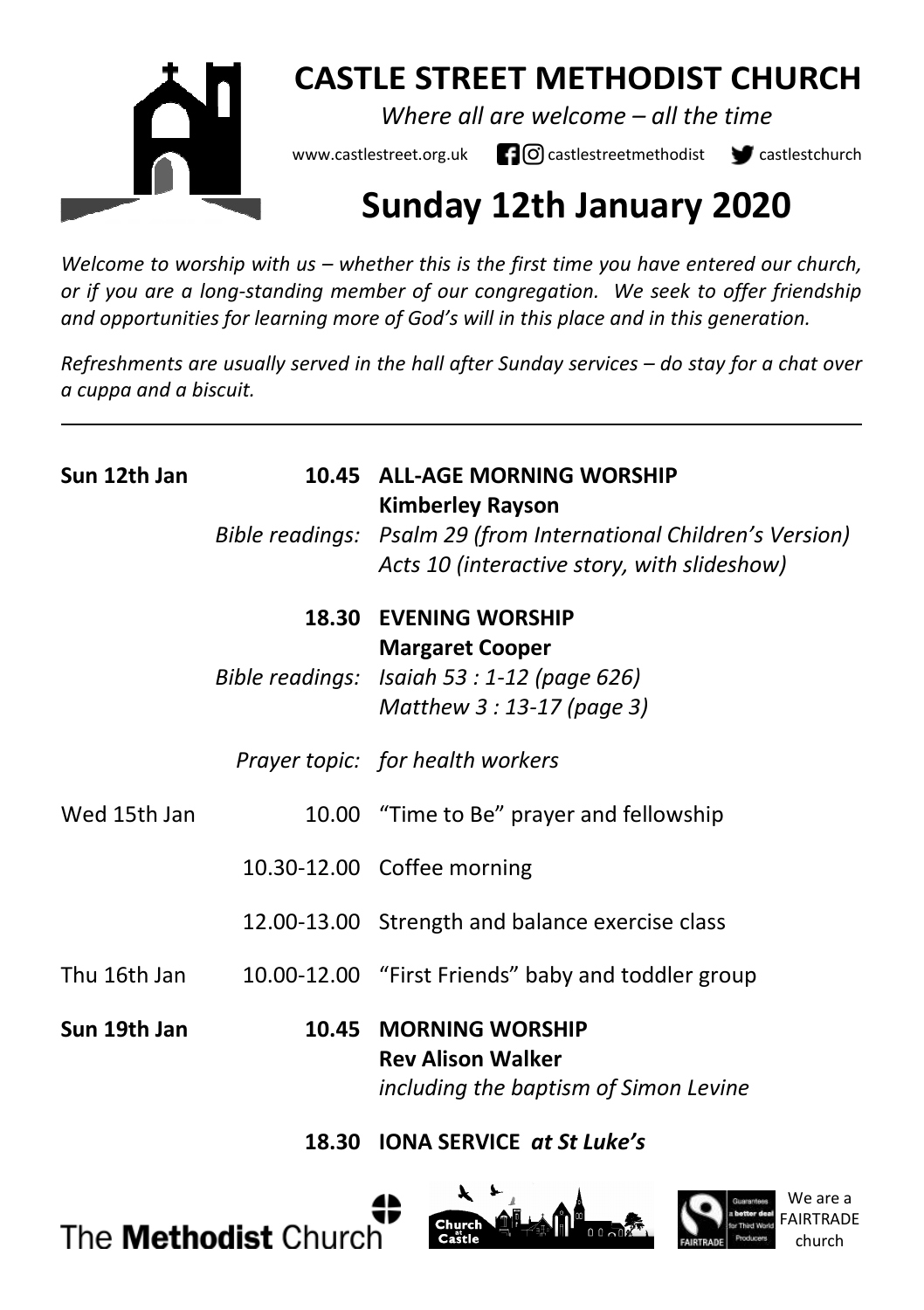

# **CASTLE STREET METHODIST CHURCH**

*Where all are welcome – all the time* 

www.castlestreet.org.uk  $\Box$  O castlestreetmethodist  $\Box$  castlestchurch

# **Sunday 12th January 2020**

*Welcome to worship with us – whether this is the first time you have entered our church, or if you are a long-standing member of our congregation. We seek to offer friendship and opportunities for learning more of God's will in this place and in this generation.* 

*Refreshments are usually served in the hall after Sunday services – do stay for a chat over a cuppa and a biscuit.*

| Sun 12th Jan | 10.45 ALL-AGE MORNING WORSHIP<br><b>Kimberley Rayson</b><br>Bible readings: Psalm 29 (from International Children's Version)<br>Acts 10 (interactive story, with slideshow) |
|--------------|-----------------------------------------------------------------------------------------------------------------------------------------------------------------------------|
|              | <b>18.30 EVENING WORSHIP</b><br><b>Margaret Cooper</b><br>Bible readings: Isaiah 53 : 1-12 (page 626)<br>Matthew 3 : 13-17 (page 3)                                         |
|              | Prayer topic: for health workers                                                                                                                                            |
| Wed 15th Jan | 10.00 "Time to Be" prayer and fellowship                                                                                                                                    |
|              | 10.30-12.00 Coffee morning                                                                                                                                                  |
|              | 12.00-13.00 Strength and balance exercise class                                                                                                                             |
| Thu 16th Jan | 10.00-12.00 "First Friends" baby and toddler group                                                                                                                          |
| Sun 19th Jan | 10.45 MORNING WORSHIP<br><b>Rev Alison Walker</b><br>including the baptism of Simon Levine                                                                                  |

### **18.30 IONA SERVICE** *at St Luke's*





We are a

church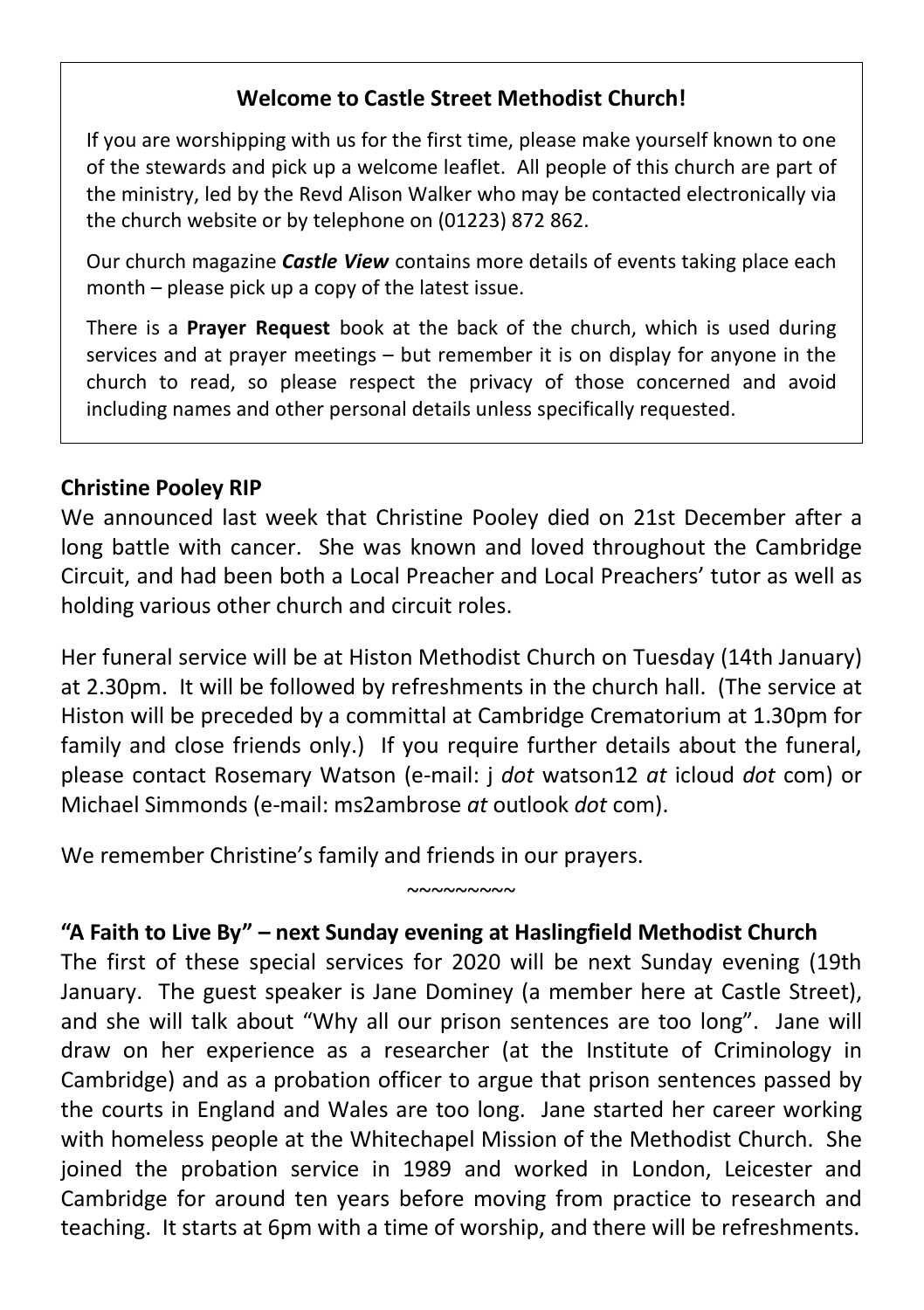# **Welcome to Castle Street Methodist Church!**

If you are worshipping with us for the first time, please make yourself known to one of the stewards and pick up a welcome leaflet. All people of this church are part of the ministry, led by the Revd Alison Walker who may be contacted electronically via the church website or by telephone on (01223) 872 862.

Our church magazine *Castle View* contains more details of events taking place each month – please pick up a copy of the latest issue.

There is a **Prayer Request** book at the back of the church, which is used during services and at prayer meetings – but remember it is on display for anyone in the church to read, so please respect the privacy of those concerned and avoid including names and other personal details unless specifically requested.

#### **Christine Pooley RIP**

We announced last week that Christine Pooley died on 21st December after a long battle with cancer. She was known and loved throughout the Cambridge Circuit, and had been both a Local Preacher and Local Preachers' tutor as well as holding various other church and circuit roles.

Her funeral service will be at Histon Methodist Church on Tuesday (14th January) at 2.30pm. It will be followed by refreshments in the church hall. (The service at Histon will be preceded by a committal at Cambridge Crematorium at 1.30pm for family and close friends only.) If you require further details about the funeral, please contact Rosemary Watson (e-mail: j *dot* watson12 *at* icloud *dot* com) or Michael Simmonds (e-mail: ms2ambrose *at* outlook *dot* com).

We remember Christine's family and friends in our prayers.

### **"A Faith to Live By" – next Sunday evening at Haslingfield Methodist Church**

 $~\sim$ ~~~~~~~

The first of these special services for 2020 will be next Sunday evening (19th January. The guest speaker is Jane Dominey (a member here at Castle Street), and she will talk about "Why all our prison sentences are too long". Jane will draw on her experience as a researcher (at the Institute of Criminology in Cambridge) and as a probation officer to argue that prison sentences passed by the courts in England and Wales are too long. Jane started her career working with homeless people at the Whitechapel Mission of the Methodist Church. She joined the probation service in 1989 and worked in London, Leicester and Cambridge for around ten years before moving from practice to research and teaching. It starts at 6pm with a time of worship, and there will be refreshments.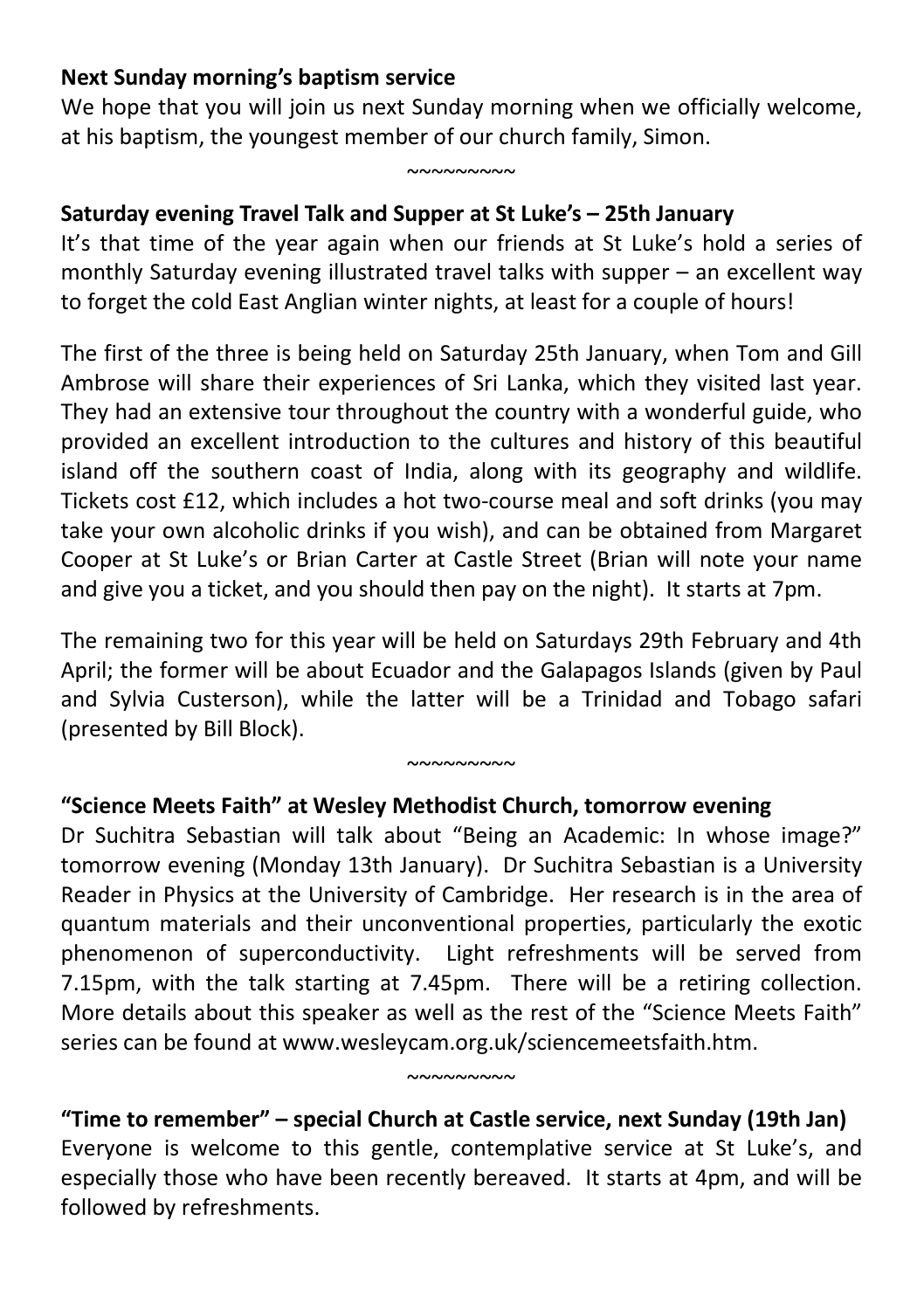## **Next Sunday morning's baptism service**

We hope that you will join us next Sunday morning when we officially welcome, at his baptism, the youngest member of our church family, Simon.

 $~^{\circ}$ 

# **Saturday evening Travel Talk and Supper at St Luke's – 25th January**

It's that time of the year again when our friends at St Luke's hold a series of monthly Saturday evening illustrated travel talks with supper – an excellent way to forget the cold East Anglian winter nights, at least for a couple of hours!

The first of the three is being held on Saturday 25th January, when Tom and Gill Ambrose will share their experiences of Sri Lanka, which they visited last year. They had an extensive tour throughout the country with a wonderful guide, who provided an excellent introduction to the cultures and history of this beautiful island off the southern coast of India, along with its geography and wildlife. Tickets cost £12, which includes a hot two-course meal and soft drinks (you may take your own alcoholic drinks if you wish), and can be obtained from Margaret Cooper at St Luke's or Brian Carter at Castle Street (Brian will note your name and give you a ticket, and you should then pay on the night). It starts at 7pm.

The remaining two for this year will be held on Saturdays 29th February and 4th April; the former will be about Ecuador and the Galapagos Islands (given by Paul and Sylvia Custerson), while the latter will be a Trinidad and Tobago safari (presented by Bill Block).

#### $~\sim\sim\sim\sim\sim\sim\sim\sim$

# **"Science Meets Faith" at Wesley Methodist Church, tomorrow evening**

Dr Suchitra Sebastian will talk about "Being an Academic: In whose image?" tomorrow evening (Monday 13th January). Dr Suchitra Sebastian is a University Reader in Physics at the University of Cambridge. Her research is in the area of quantum materials and their unconventional properties, particularly the exotic phenomenon of superconductivity. Light refreshments will be served from 7.15pm, with the talk starting at 7.45pm. There will be a retiring collection. More details about this speaker as well as the rest of the "Science Meets Faith" series can be found at www.wesleycam.org.uk/sciencemeetsfaith.htm.

# **"Time to remember" – special Church at Castle service, next Sunday (19th Jan)**  Everyone is welcome to this gentle, contemplative service at St Luke's, and especially those who have been recently bereaved. It starts at 4pm, and will be followed by refreshments.

 $~^{\circ}$